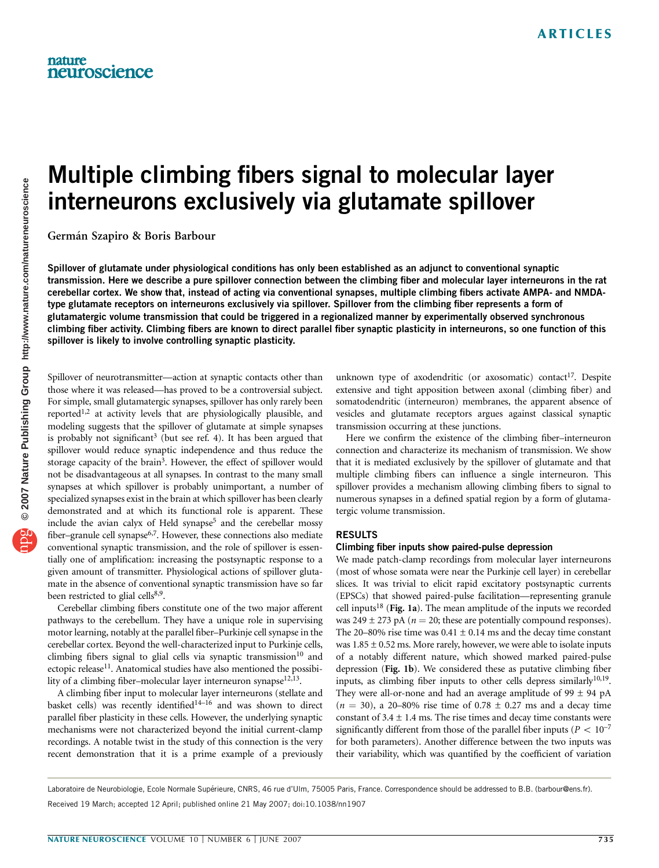# Multiple climbing fibers signal to molecular layer interneurons exclusively via glutamate spillover

Germa´n Szapiro & Boris Barbour

Spillover of glutamate under physiological conditions has only been established as an adjunct to conventional synaptic transmission. Here we describe a pure spillover connection between the climbing fiber and molecular layer interneurons in the rat cerebellar cortex. We show that, instead of acting via conventional synapses, multiple climbing fibers activate AMPA- and NMDAtype glutamate receptors on interneurons exclusively via spillover. Spillover from the climbing fiber represents a form of glutamatergic volume transmission that could be triggered in a regionalized manner by experimentally observed synchronous climbing fiber activity. Climbing fibers are known to direct parallel fiber synaptic plasticity in interneurons, so one function of this spillover is likely to involve controlling synaptic plasticity.

Spillover of neurotransmitter—action at synaptic contacts other than those where it was released—has proved to be a controversial subject. For simple, small glutamatergic synapses, spillover has only rarely been reported<sup>1,2</sup> at activity levels that are physiologically plausible, and modeling suggests that the spillover of glutamate at simple synapses is probably not significant<sup>3</sup> (but see ref. 4). It has been argued that spillover would reduce synaptic independence and thus reduce the storage capacity of the brain<sup>3</sup>. However, the effect of spillover would not be disadvantageous at all synapses. In contrast to the many small synapses at which spillover is probably unimportant, a number of specialized synapses exist in the brain at which spillover has been clearly demonstrated and at which its functional role is apparent. These include the avian calyx of Held synapse<sup>5</sup> and the cerebellar mossy fiber–granule cell synapse<sup>6,7</sup>. However, these connections also mediate conventional synaptic transmission, and the role of spillover is essentially one of amplification: increasing the postsynaptic response to a given amount of transmitter. Physiological actions of spillover glutamate in the absence of conventional synaptic transmission have so far been restricted to glial cells<sup>8,9</sup>.

Cerebellar climbing fibers constitute one of the two major afferent pathways to the cerebellum. They have a unique role in supervising motor learning, notably at the parallel fiber–Purkinje cell synapse in the cerebellar cortex. Beyond the well-characterized input to Purkinje cells, climbing fibers signal to glial cells via synaptic transmission $10$  and ectopic release<sup>11</sup>. Anatomical studies have also mentioned the possibility of a climbing fiber–molecular layer interneuron synapse<sup>12,13</sup>.

A climbing fiber input to molecular layer interneurons (stellate and basket cells) was recently identified<sup>14–16</sup> and was shown to direct parallel fiber plasticity in these cells. However, the underlying synaptic mechanisms were not characterized beyond the initial current-clamp recordings. A notable twist in the study of this connection is the very recent demonstration that it is a prime example of a previously

unknown type of axodendritic (or axosomatic) contact<sup>17</sup>. Despite extensive and tight apposition between axonal (climbing fiber) and somatodendritic (interneuron) membranes, the apparent absence of vesicles and glutamate receptors argues against classical synaptic transmission occurring at these junctions.

Here we confirm the existence of the climbing fiber–interneuron connection and characterize its mechanism of transmission. We show that it is mediated exclusively by the spillover of glutamate and that multiple climbing fibers can influence a single interneuron. This spillover provides a mechanism allowing climbing fibers to signal to numerous synapses in a defined spatial region by a form of glutamatergic volume transmission.

#### RESULTS

## Climbing fiber inputs show paired-pulse depression

We made patch-clamp recordings from molecular layer interneurons (most of whose somata were near the Purkinje cell layer) in cerebellar slices. It was trivial to elicit rapid excitatory postsynaptic currents (EPSCs) that showed paired-pulse facilitation—representing granule cell inputs<sup>18</sup> (Fig. 1a). The mean amplitude of the inputs we recorded was 249  $\pm$  273 pA ( $n = 20$ ; these are potentially compound responses). The 20–80% rise time was  $0.41 \pm 0.14$  ms and the decay time constant was  $1.85 \pm 0.52$  ms. More rarely, however, we were able to isolate inputs of a notably different nature, which showed marked paired-pulse depression (Fig. 1b). We considered these as putative climbing fiber inputs, as climbing fiber inputs to other cells depress similarly<sup>10,19</sup>. They were all-or-none and had an average amplitude of 99  $\pm$  94 pA  $(n = 30)$ , a 20–80% rise time of 0.78  $\pm$  0.27 ms and a decay time constant of  $3.4 \pm 1.4$  ms. The rise times and decay time constants were significantly different from those of the parallel fiber inputs ( $P < 10^{-7}$ ) for both parameters). Another difference between the two inputs was their variability, which was quantified by the coefficient of variation

Laboratoire de Neurobiologie, Ecole Normale Supérieure, CNRS, 46 rue d'Ulm, 75005 Paris, France. Correspondence should be addressed to B.B. (barbour@ens.fr).

Received 19 March; accepted 12 April; published online 21 May 2007; doi:10.1038/nn1907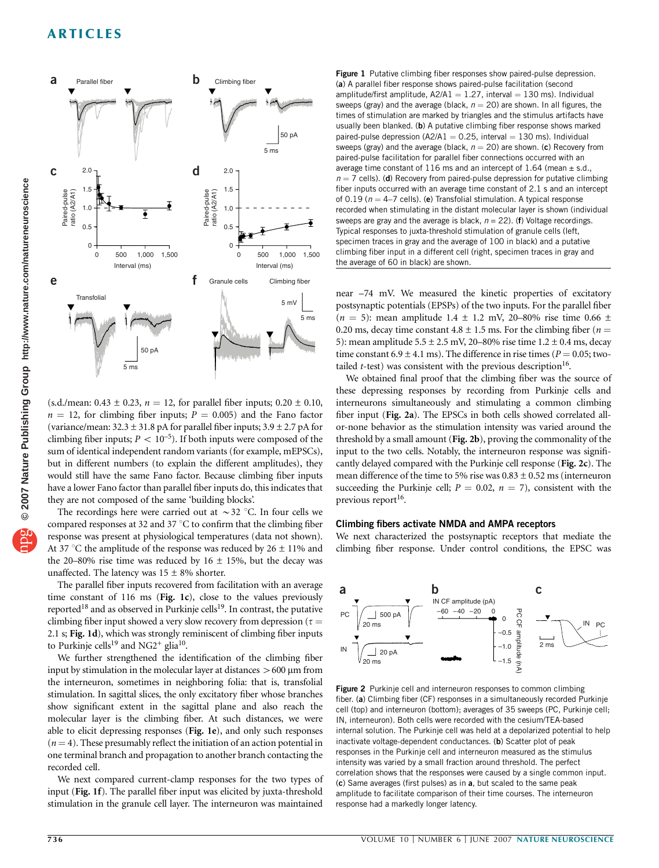

(s.d./mean: 0.43  $\pm$  0.23,  $n = 12$ , for parallel fiber inputs; 0.20  $\pm$  0.10,  $n = 12$ , for climbing fiber inputs;  $P = 0.005$ ) and the Fano factor (variance/mean:  $32.3 \pm 31.8$  pA for parallel fiber inputs;  $3.9 \pm 2.7$  pA for climbing fiber inputs;  $P < 10^{-5}$ ). If both inputs were composed of the sum of identical independent random variants (for example, mEPSCs), but in different numbers (to explain the different amplitudes), they would still have the same Fano factor. Because climbing fiber inputs have a lower Fano factor than parallel fiber inputs do, this indicates that they are not composed of the same 'building blocks'.

The recordings here were carried out at  $\sim$  32 °C. In four cells we compared responses at 32 and 37  $^{\circ}$ C to confirm that the climbing fiber response was present at physiological temperatures (data not shown). At 37 °C the amplitude of the response was reduced by 26  $\pm$  11% and the 20–80% rise time was reduced by  $16 \pm 15$ %, but the decay was unaffected. The latency was  $15 \pm 8\%$  shorter.

The parallel fiber inputs recovered from facilitation with an average time constant of 116 ms (Fig. 1c), close to the values previously reported<sup>18</sup> and as observed in Purkinje cells<sup>19</sup>. In contrast, the putative climbing fiber input showed a very slow recovery from depression ( $\tau$  = 2.1 s; Fig. 1d), which was strongly reminiscent of climbing fiber inputs to Purkinje cells<sup>19</sup> and NG2<sup>+</sup> glia<sup>10</sup>.

We further strengthened the identification of the climbing fiber input by stimulation in the molecular layer at distances  $>600 \mu m$  from the interneuron, sometimes in neighboring folia: that is, transfolial stimulation. In sagittal slices, the only excitatory fiber whose branches show significant extent in the sagittal plane and also reach the molecular layer is the climbing fiber. At such distances, we were able to elicit depressing responses (Fig. 1e), and only such responses  $(n = 4)$ . These presumably reflect the initiation of an action potential in one terminal branch and propagation to another branch contacting the recorded cell.

We next compared current-clamp responses for the two types of input (Fig. 1f). The parallel fiber input was elicited by juxta-threshold stimulation in the granule cell layer. The interneuron was maintained

Figure 1 Putative climbing fiber responses show paired-pulse depression. (a) A parallel fiber response shows paired-pulse facilitation (second amplitude/first amplitude,  $A2/A1 = 1.27$ , interval = 130 ms). Individual sweeps (gray) and the average (black,  $n = 20$ ) are shown. In all figures, the times of stimulation are marked by triangles and the stimulus artifacts have usually been blanked. (b) A putative climbing fiber response shows marked paired-pulse depression (A2/A1 =  $0.25$ , interval = 130 ms). Individual sweeps (gray) and the average (black,  $n = 20$ ) are shown. (c) Recovery from paired-pulse facilitation for parallel fiber connections occurred with an average time constant of 116 ms and an intercept of 1.64 (mean  $\pm$  s.d.,  $n = 7$  cells). (d) Recovery from paired-pulse depression for putative climbing fiber inputs occurred with an average time constant of 2.1 s and an intercept of 0.19 ( $n = 4-7$  cells). (e) Transfolial stimulation. A typical response recorded when stimulating in the distant molecular layer is shown (individual sweeps are gray and the average is black,  $n = 22$ ). (f) Voltage recordings. Typical responses to juxta-threshold stimulation of granule cells (left, specimen traces in gray and the average of 100 in black) and a putative climbing fiber input in a different cell (right, specimen traces in gray and the average of 60 in black) are shown.

near –74 mV. We measured the kinetic properties of excitatory postsynaptic potentials (EPSPs) of the two inputs. For the parallel fiber  $(n = 5)$ : mean amplitude 1.4  $\pm$  1.2 mV, 20–80% rise time 0.66  $\pm$ 0.20 ms, decay time constant 4.8  $\pm$  1.5 ms. For the climbing fiber (*n* = 5): mean amplitude  $5.5 \pm 2.5$  mV, 20–80% rise time  $1.2 \pm 0.4$  ms, decay time constant  $6.9 \pm 4.1$  ms). The difference in rise times ( $P = 0.05$ ; twotailed  $t$ -test) was consistent with the previous description<sup>16</sup>.

We obtained final proof that the climbing fiber was the source of these depressing responses by recording from Purkinje cells and interneurons simultaneously and stimulating a common climbing fiber input (Fig. 2a). The EPSCs in both cells showed correlated allor-none behavior as the stimulation intensity was varied around the threshold by a small amount (Fig.  $2b$ ), proving the commonality of the input to the two cells. Notably, the interneuron response was significantly delayed compared with the Purkinje cell response (Fig. 2c). The mean difference of the time to 5% rise was  $0.83 \pm 0.52$  ms (interneuron succeeding the Purkinje cell;  $P = 0.02$ ,  $n = 7$ ), consistent with the previous report<sup>16</sup>.

#### Climbing fibers activate NMDA and AMPA receptors

We next characterized the postsynaptic receptors that mediate the climbing fiber response. Under control conditions, the EPSC was



Figure 2 Purkinje cell and interneuron responses to common climbing fiber. (a) Climbing fiber (CF) responses in a simultaneously recorded Purkinje cell (top) and interneuron (bottom); averages of 35 sweeps (PC, Purkinje cell; IN, interneuron). Both cells were recorded with the cesium/TEA-based internal solution. The Purkinje cell was held at a depolarized potential to help inactivate voltage-dependent conductances. (b) Scatter plot of peak responses in the Purkinje cell and interneuron measured as the stimulus intensity was varied by a small fraction around threshold. The perfect correlation shows that the responses were caused by a single common input. (c) Same averages (first pulses) as in a, but scaled to the same peak amplitude to facilitate comparison of their time courses. The interneuron response had a markedly longer latency.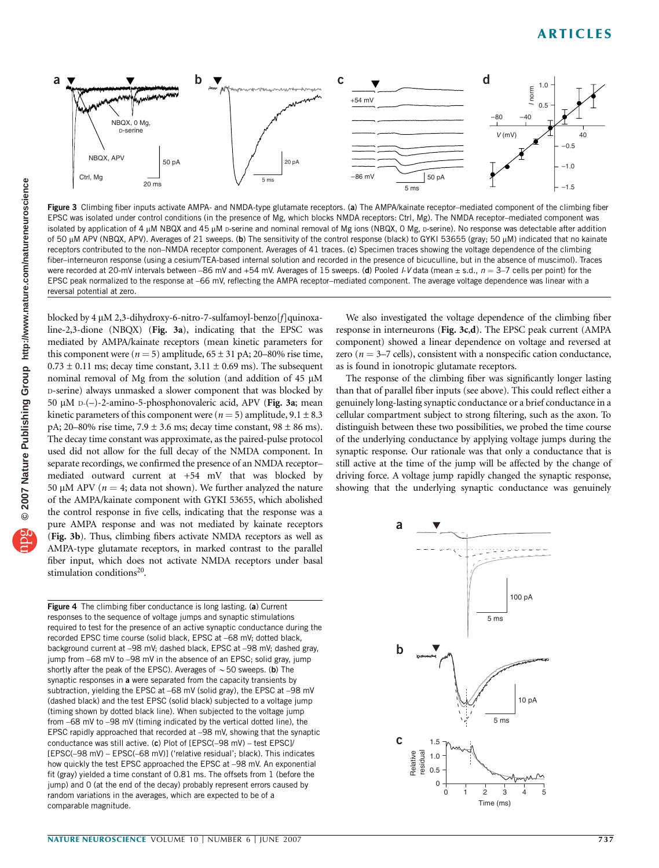# ARTICLES



**ODO COOT Nature Publishing Group http://www.nature.com/natureneuroscience 7 Nature Publishing Group http://www.nature.com/natureneuroscience**



blocked by 4  $\mu$ M 2,3-dihydroxy-6-nitro-7-sulfamoyl-benzo[f]quinoxaline-2,3-dione (NBQX) (Fig. 3a), indicating that the EPSC was mediated by AMPA/kainate receptors (mean kinetic parameters for this component were ( $n = 5$ ) amplitude, 65  $\pm$  31 pA; 20–80% rise time,  $0.73 \pm 0.11$  ms; decay time constant,  $3.11 \pm 0.69$  ms). The subsequent nominal removal of Mg from the solution (and addition of 45  $\mu$ M D-serine) always unmasked a slower component that was blocked by 50 µM D-(-)-2-amino-5-phosphonovaleric acid, APV (Fig. 3a; mean kinetic parameters of this component were ( $n = 5$ ) amplitude,  $9.1 \pm 8.3$ pA; 20–80% rise time,  $7.9 \pm 3.6$  ms; decay time constant,  $98 \pm 86$  ms). The decay time constant was approximate, as the paired-pulse protocol used did not allow for the full decay of the NMDA component. In separate recordings, we confirmed the presence of an NMDA receptor– mediated outward current at +54 mV that was blocked by 50 µM APV ( $n = 4$ ; data not shown). We further analyzed the nature of the AMPA/kainate component with GYKI 53655, which abolished the control response in five cells, indicating that the response was a pure AMPA response and was not mediated by kainate receptors (Fig. 3b). Thus, climbing fibers activate NMDA receptors as well as AMPA-type glutamate receptors, in marked contrast to the parallel fiber input, which does not activate NMDA receptors under basal stimulation conditions<sup>20</sup>.

Figure 4 The climbing fiber conductance is long lasting. (a) Current responses to the sequence of voltage jumps and synaptic stimulations required to test for the presence of an active synaptic conductance during the recorded EPSC time course (solid black, EPSC at –68 mV; dotted black, background current at –98 mV; dashed black, EPSC at –98 mV; dashed gray, jump from –68 mV to –98 mV in the absence of an EPSC; solid gray, jump shortly after the peak of the EPSC). Averages of  $\sim$  50 sweeps. (b) The synaptic responses in a were separated from the capacity transients by subtraction, yielding the EPSC at –68 mV (solid gray), the EPSC at –98 mV (dashed black) and the test EPSC (solid black) subjected to a voltage jump (timing shown by dotted black line). When subjected to the voltage jump from –68 mV to –98 mV (timing indicated by the vertical dotted line), the EPSC rapidly approached that recorded at –98 mV, showing that the synaptic conductance was still active. (c) Plot of [EPSC(–98 mV) – test EPSC]/ [EPSC(–98 mV) – EPSC(–68 mV)] ('relative residual'; black). This indicates how quickly the test EPSC approached the EPSC at –98 mV. An exponential fit (gray) yielded a time constant of 0.81 ms. The offsets from 1 (before the jump) and 0 (at the end of the decay) probably represent errors caused by random variations in the averages, which are expected to be of a comparable magnitude.

We also investigated the voltage dependence of the climbing fiber response in interneurons (Fig. 3c,d). The EPSC peak current (AMPA component) showed a linear dependence on voltage and reversed at zero ( $n = 3-7$  cells), consistent with a nonspecific cation conductance, as is found in ionotropic glutamate receptors.

The response of the climbing fiber was significantly longer lasting than that of parallel fiber inputs (see above). This could reflect either a genuinely long-lasting synaptic conductance or a brief conductance in a cellular compartment subject to strong filtering, such as the axon. To distinguish between these two possibilities, we probed the time course of the underlying conductance by applying voltage jumps during the synaptic response. Our rationale was that only a conductance that is still active at the time of the jump will be affected by the change of driving force. A voltage jump rapidly changed the synaptic response, showing that the underlying synaptic conductance was genuinely

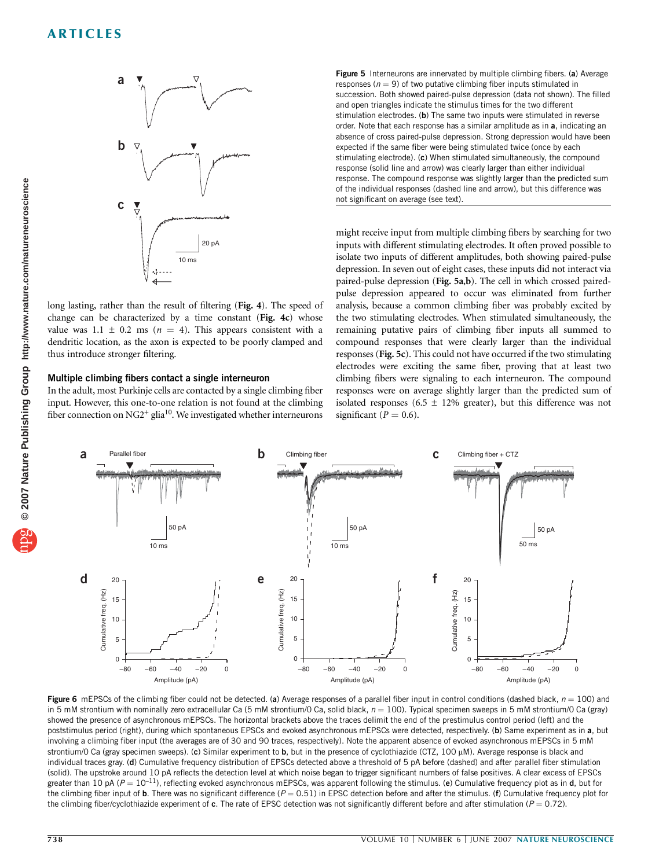

long lasting, rather than the result of filtering (Fig. 4). The speed of change can be characterized by a time constant (Fig. 4c) whose value was 1.1  $\pm$  0.2 ms ( $n = 4$ ). This appears consistent with a dendritic location, as the axon is expected to be poorly clamped and thus introduce stronger filtering.

# Multiple climbing fibers contact a single interneuron

In the adult, most Purkinje cells are contacted by a single climbing fiber input. However, this one-to-one relation is not found at the climbing fiber connection on NG2<sup>+</sup> glia<sup>10</sup>. We investigated whether interneurons

Figure 5 Interneurons are innervated by multiple climbing fibers. (a) Average responses ( $n = 9$ ) of two putative climbing fiber inputs stimulated in succession. Both showed paired-pulse depression (data not shown). The filled and open triangles indicate the stimulus times for the two different stimulation electrodes. (b) The same two inputs were stimulated in reverse order. Note that each response has a similar amplitude as in a, indicating an absence of cross paired-pulse depression. Strong depression would have been expected if the same fiber were being stimulated twice (once by each stimulating electrode). (c) When stimulated simultaneously, the compound response (solid line and arrow) was clearly larger than either individual response. The compound response was slightly larger than the predicted sum of the individual responses (dashed line and arrow), but this difference was not significant on average (see text).

might receive input from multiple climbing fibers by searching for two inputs with different stimulating electrodes. It often proved possible to isolate two inputs of different amplitudes, both showing paired-pulse depression. In seven out of eight cases, these inputs did not interact via paired-pulse depression (Fig. 5a,b). The cell in which crossed pairedpulse depression appeared to occur was eliminated from further analysis, because a common climbing fiber was probably excited by the two stimulating electrodes. When stimulated simultaneously, the remaining putative pairs of climbing fiber inputs all summed to compound responses that were clearly larger than the individual responses (Fig. 5c). This could not have occurred if the two stimulating electrodes were exciting the same fiber, proving that at least two climbing fibers were signaling to each interneuron. The compound responses were on average slightly larger than the predicted sum of isolated responses (6.5  $\pm$  12% greater), but this difference was not significant ( $P = 0.6$ ).



Figure 6 mEPSCs of the climbing fiber could not be detected. (a) Average responses of a parallel fiber input in control conditions (dashed black,  $n = 100$ ) and in 5 mM strontium with nominally zero extracellular Ca (5 mM strontium/0 Ca, solid black,  $n = 100$ ). Typical specimen sweeps in 5 mM strontium/0 Ca (gray) showed the presence of asynchronous mEPSCs. The horizontal brackets above the traces delimit the end of the prestimulus control period (left) and the poststimulus period (right), during which spontaneous EPSCs and evoked asynchronous mEPSCs were detected, respectively. (b) Same experiment as in a, but involving a climbing fiber input (the averages are of 30 and 90 traces, respectively). Note the apparent absence of evoked asynchronous mEPSCs in 5 mM strontium/0 Ca (gray specimen sweeps). (c) Similar experiment to b, but in the presence of cyclothiazide (CTZ, 100 µM). Average response is black and individual traces gray. (d) Cumulative frequency distribution of EPSCs detected above a threshold of 5 pA before (dashed) and after parallel fiber stimulation (solid). The upstroke around 10 pA reflects the detection level at which noise began to trigger significant numbers of false positives. A clear excess of EPSCs greater than 10 pA ( $P = 10^{-11}$ ), reflecting evoked asynchronous mEPSCs, was apparent following the stimulus. (e) Cumulative frequency plot as in d, but for the climbing fiber input of b. There was no significant difference ( $P = 0.51$ ) in EPSC detection before and after the stimulus. (f) Cumulative frequency plot for the climbing fiber/cyclothiazide experiment of c. The rate of EPSC detection was not significantly different before and after stimulation ( $P = 0.72$ ).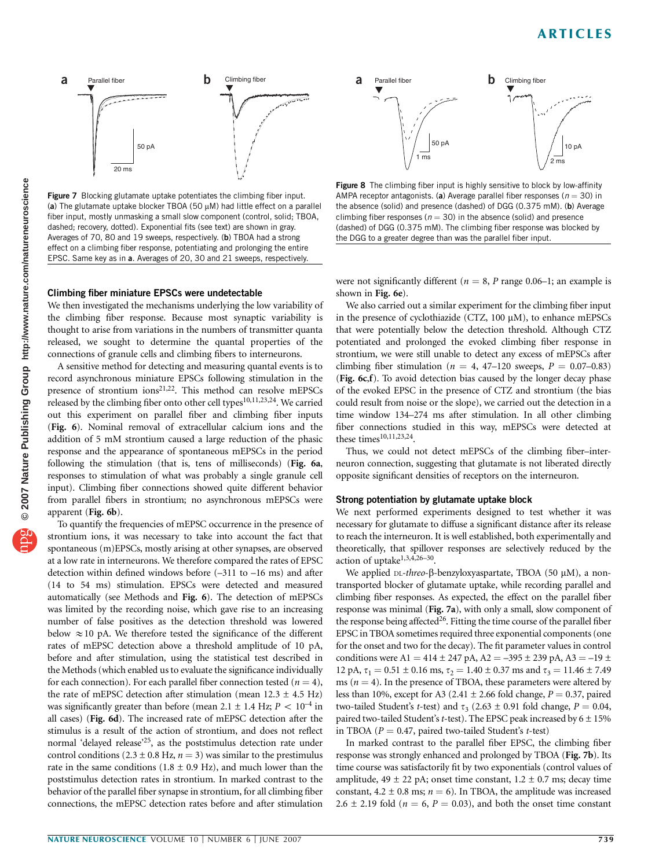

Figure 7 Blocking glutamate uptake potentiates the climbing fiber input. (a) The glutamate uptake blocker TBOA (50  $\mu$ M) had little effect on a parallel fiber input, mostly unmasking a small slow component (control, solid; TBOA, dashed; recovery, dotted). Exponential fits (see text) are shown in gray. Averages of 70, 80 and 19 sweeps, respectively. (b) TBOA had a strong effect on a climbing fiber response, potentiating and prolonging the entire EPSC. Same key as in a. Averages of 20, 30 and 21 sweeps, respectively.

#### Climbing fiber miniature EPSCs were undetectable

We then investigated the mechanisms underlying the low variability of the climbing fiber response. Because most synaptic variability is thought to arise from variations in the numbers of transmitter quanta released, we sought to determine the quantal properties of the connections of granule cells and climbing fibers to interneurons.

A sensitive method for detecting and measuring quantal events is to record asynchronous miniature EPSCs following stimulation in the presence of strontium ions<sup>21,22</sup>. This method can resolve mEPSCs released by the climbing fiber onto other cell types<sup>10,11,23,24</sup>. We carried out this experiment on parallel fiber and climbing fiber inputs (Fig. 6). Nominal removal of extracellular calcium ions and the addition of 5 mM strontium caused a large reduction of the phasic response and the appearance of spontaneous mEPSCs in the period following the stimulation (that is, tens of milliseconds) (Fig. 6a, responses to stimulation of what was probably a single granule cell input). Climbing fiber connections showed quite different behavior from parallel fibers in strontium; no asynchronous mEPSCs were apparent (Fig. 6b).

To quantify the frequencies of mEPSC occurrence in the presence of strontium ions, it was necessary to take into account the fact that spontaneous (m)EPSCs, mostly arising at other synapses, are observed at a low rate in interneurons. We therefore compared the rates of EPSC detection within defined windows before (–311 to –16 ms) and after (14 to 54 ms) stimulation. EPSCs were detected and measured automatically (see Methods and Fig. 6). The detection of mEPSCs was limited by the recording noise, which gave rise to an increasing number of false positives as the detection threshold was lowered below  $\approx$  10 pA. We therefore tested the significance of the different rates of mEPSC detection above a threshold amplitude of 10 pA, before and after stimulation, using the statistical test described in the Methods (which enabled us to evaluate the significance individually for each connection). For each parallel fiber connection tested ( $n = 4$ ), the rate of mEPSC detection after stimulation (mean  $12.3 \pm 4.5$  Hz) was significantly greater than before (mean 2.1  $\pm$  1.4 Hz;  $P < 10^{-4}$  in all cases) (Fig. 6d). The increased rate of mEPSC detection after the stimulus is a result of the action of strontium, and does not reflect normal 'delayed release'25, as the poststimulus detection rate under control conditions (2.3  $\pm$  0.8 Hz, n = 3) was similar to the prestimulus rate in the same conditions (1.8  $\pm$  0.9 Hz), and much lower than the poststimulus detection rates in strontium. In marked contrast to the behavior of the parallel fiber synapse in strontium, for all climbing fiber connections, the mEPSC detection rates before and after stimulation



Figure 8 The climbing fiber input is highly sensitive to block by low-affinity AMPA receptor antagonists. (a) Average parallel fiber responses ( $n = 30$ ) in the absence (solid) and presence (dashed) of DGG (0.375 mM). (b) Average climbing fiber responses ( $n = 30$ ) in the absence (solid) and presence (dashed) of DGG (0.375 mM). The climbing fiber response was blocked by the DGG to a greater degree than was the parallel fiber input.

were not significantly different ( $n = 8$ , P range 0.06–1; an example is shown in Fig. 6e).

We also carried out a similar experiment for the climbing fiber input in the presence of cyclothiazide (CTZ,  $100 \mu$ M), to enhance mEPSCs that were potentially below the detection threshold. Although CTZ potentiated and prolonged the evoked climbing fiber response in strontium, we were still unable to detect any excess of mEPSCs after climbing fiber stimulation ( $n = 4$ , 47–120 sweeps,  $P = 0.07$ –0.83) (Fig. 6c,f). To avoid detection bias caused by the longer decay phase of the evoked EPSC in the presence of CTZ and strontium (the bias could result from noise or the slope), we carried out the detection in a time window 134–274 ms after stimulation. In all other climbing fiber connections studied in this way, mEPSCs were detected at these times $10,11,23,24$ 

Thus, we could not detect mEPSCs of the climbing fiber–interneuron connection, suggesting that glutamate is not liberated directly opposite significant densities of receptors on the interneuron.

#### Strong potentiation by glutamate uptake block

We next performed experiments designed to test whether it was necessary for glutamate to diffuse a significant distance after its release to reach the interneuron. It is well established, both experimentally and theoretically, that spillover responses are selectively reduced by the action of uptake<sup>1,3,4,26-30</sup>.

We applied DL-threo-β-benzyloxyaspartate, TBOA (50 μM), a nontransported blocker of glutamate uptake, while recording parallel and climbing fiber responses. As expected, the effect on the parallel fiber response was minimal (Fig. 7a), with only a small, slow component of the response being affected<sup>26</sup>. Fitting the time course of the parallel fiber EPSC in TBOA sometimes required three exponential components (one for the onset and two for the decay). The fit parameter values in control conditions were A1 = 414  $\pm$  247 pA, A2 = -395  $\pm$  239 pA, A3 = -19  $\pm$ 12 pA,  $\tau_1 = 0.51 \pm 0.16$  ms,  $\tau_2 = 1.40 \pm 0.37$  ms and  $\tau_3 = 11.46 \pm 7.49$ ms ( $n = 4$ ). In the presence of TBOA, these parameters were altered by less than 10%, except for A3 (2.41  $\pm$  2.66 fold change,  $P = 0.37$ , paired two-tailed Student's t-test) and  $\tau_3$  (2.63  $\pm$  0.91 fold change,  $P = 0.04$ , paired two-tailed Student's t-test). The EPSC peak increased by  $6 \pm 15\%$ in TBOA ( $P = 0.47$ , paired two-tailed Student's t-test)

In marked contrast to the parallel fiber EPSC, the climbing fiber response was strongly enhanced and prolonged by TBOA (Fig. 7b). Its time course was satisfactorily fit by two exponentials (control values of amplitude,  $49 \pm 22$  pA; onset time constant,  $1.2 \pm 0.7$  ms; decay time constant,  $4.2 \pm 0.8$  ms;  $n = 6$ ). In TBOA, the amplitude was increased  $2.6 \pm 2.19$  fold ( $n = 6$ ,  $P = 0.03$ ), and both the onset time constant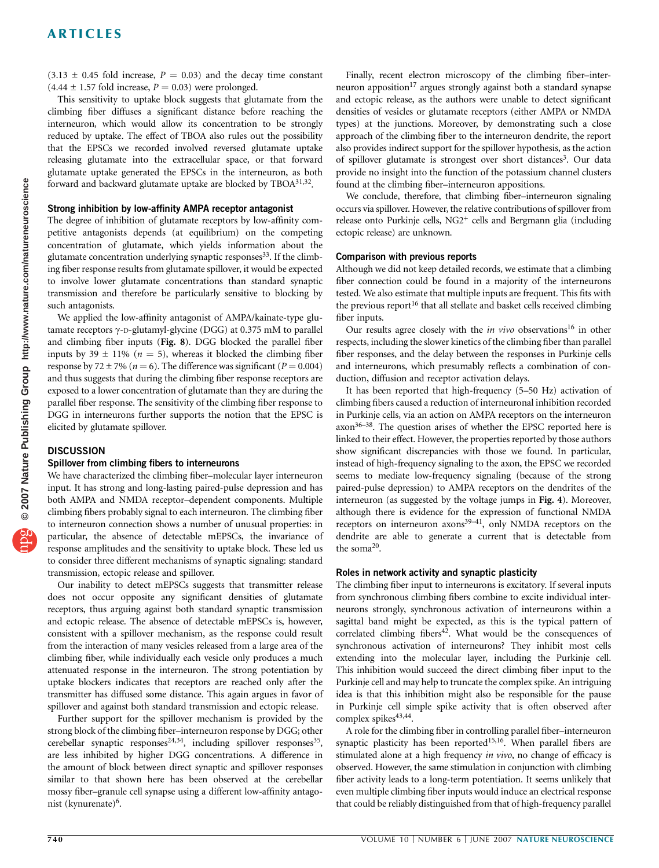# ARTICLES

 $(3.13 \pm 0.45$  fold increase,  $P = 0.03$ ) and the decay time constant  $(4.44 \pm 1.57 \text{ fold increase}, P = 0.03)$  were prolonged.

This sensitivity to uptake block suggests that glutamate from the climbing fiber diffuses a significant distance before reaching the interneuron, which would allow its concentration to be strongly reduced by uptake. The effect of TBOA also rules out the possibility that the EPSCs we recorded involved reversed glutamate uptake releasing glutamate into the extracellular space, or that forward glutamate uptake generated the EPSCs in the interneuron, as both forward and backward glutamate uptake are blocked by TBOA<sup>31,32</sup>.

## Strong inhibition by low-affinity AMPA receptor antagonist

The degree of inhibition of glutamate receptors by low-affinity competitive antagonists depends (at equilibrium) on the competing concentration of glutamate, which yields information about the glutamate concentration underlying synaptic responses $33$ . If the climbing fiber response results from glutamate spillover, it would be expected to involve lower glutamate concentrations than standard synaptic transmission and therefore be particularly sensitive to blocking by such antagonists.

We applied the low-affinity antagonist of AMPA/kainate-type glutamate receptors  $\gamma$ -D-glutamyl-glycine (DGG) at 0.375 mM to parallel and climbing fiber inputs (Fig. 8). DGG blocked the parallel fiber inputs by 39  $\pm$  11% ( $n = 5$ ), whereas it blocked the climbing fiber response by 72  $\pm$  7% ( $n = 6$ ). The difference was significant ( $P = 0.004$ ) and thus suggests that during the climbing fiber response receptors are exposed to a lower concentration of glutamate than they are during the parallel fiber response. The sensitivity of the climbing fiber response to DGG in interneurons further supports the notion that the EPSC is elicited by glutamate spillover.

#### **DISCUSSION**

#### Spillover from climbing fibers to interneurons

We have characterized the climbing fiber–molecular layer interneuron input. It has strong and long-lasting paired-pulse depression and has both AMPA and NMDA receptor–dependent components. Multiple climbing fibers probably signal to each interneuron. The climbing fiber to interneuron connection shows a number of unusual properties: in particular, the absence of detectable mEPSCs, the invariance of response amplitudes and the sensitivity to uptake block. These led us to consider three different mechanisms of synaptic signaling: standard transmission, ectopic release and spillover.

Our inability to detect mEPSCs suggests that transmitter release does not occur opposite any significant densities of glutamate receptors, thus arguing against both standard synaptic transmission and ectopic release. The absence of detectable mEPSCs is, however, consistent with a spillover mechanism, as the response could result from the interaction of many vesicles released from a large area of the climbing fiber, while individually each vesicle only produces a much attenuated response in the interneuron. The strong potentiation by uptake blockers indicates that receptors are reached only after the transmitter has diffused some distance. This again argues in favor of spillover and against both standard transmission and ectopic release.

Further support for the spillover mechanism is provided by the strong block of the climbing fiber–interneuron response by DGG; other cerebellar synaptic responses<sup>24,34</sup>, including spillover responses<sup>35</sup>, are less inhibited by higher DGG concentrations. A difference in the amount of block between direct synaptic and spillover responses similar to that shown here has been observed at the cerebellar mossy fiber–granule cell synapse using a different low-affinity antagonist (kynurenate)<sup>6</sup>.

Finally, recent electron microscopy of the climbing fiber–interneuron apposition<sup>17</sup> argues strongly against both a standard synapse and ectopic release, as the authors were unable to detect significant densities of vesicles or glutamate receptors (either AMPA or NMDA types) at the junctions. Moreover, by demonstrating such a close approach of the climbing fiber to the interneuron dendrite, the report also provides indirect support for the spillover hypothesis, as the action of spillover glutamate is strongest over short distances<sup>3</sup>. Our data provide no insight into the function of the potassium channel clusters found at the climbing fiber–interneuron appositions.

We conclude, therefore, that climbing fiber–interneuron signaling occurs via spillover. However, the relative contributions of spillover from release onto Purkinje cells, NG2<sup>+</sup> cells and Bergmann glia (including ectopic release) are unknown.

#### Comparison with previous reports

Although we did not keep detailed records, we estimate that a climbing fiber connection could be found in a majority of the interneurons tested. We also estimate that multiple inputs are frequent. This fits with the previous report<sup>16</sup> that all stellate and basket cells received climbing fiber inputs.

Our results agree closely with the *in vivo* observations<sup>16</sup> in other respects, including the slower kinetics of the climbing fiber than parallel fiber responses, and the delay between the responses in Purkinje cells and interneurons, which presumably reflects a combination of conduction, diffusion and receptor activation delays.

It has been reported that high-frequency (5–50 Hz) activation of climbing fibers caused a reduction of interneuronal inhibition recorded in Purkinje cells, via an action on AMPA receptors on the interneuron axon<sup>36–38</sup>. The question arises of whether the EPSC reported here is linked to their effect. However, the properties reported by those authors show significant discrepancies with those we found. In particular, instead of high-frequency signaling to the axon, the EPSC we recorded seems to mediate low-frequency signaling (because of the strong paired-pulse depression) to AMPA receptors on the dendrites of the interneuron (as suggested by the voltage jumps in Fig. 4). Moreover, although there is evidence for the expression of functional NMDA receptors on interneuron axons<sup>39-41</sup>, only NMDA receptors on the dendrite are able to generate a current that is detectable from the soma<sup>20</sup>.

## Roles in network activity and synaptic plasticity

The climbing fiber input to interneurons is excitatory. If several inputs from synchronous climbing fibers combine to excite individual interneurons strongly, synchronous activation of interneurons within a sagittal band might be expected, as this is the typical pattern of correlated climbing fibers $42$ . What would be the consequences of synchronous activation of interneurons? They inhibit most cells extending into the molecular layer, including the Purkinje cell. This inhibition would succeed the direct climbing fiber input to the Purkinje cell and may help to truncate the complex spike. An intriguing idea is that this inhibition might also be responsible for the pause in Purkinje cell simple spike activity that is often observed after complex spikes<sup>43,44</sup>.

A role for the climbing fiber in controlling parallel fiber–interneuron synaptic plasticity has been reported<sup>15,16</sup>. When parallel fibers are stimulated alone at a high frequency in vivo, no change of efficacy is observed. However, the same stimulation in conjunction with climbing fiber activity leads to a long-term potentiation. It seems unlikely that even multiple climbing fiber inputs would induce an electrical response that could be reliably distinguished from that of high-frequency parallel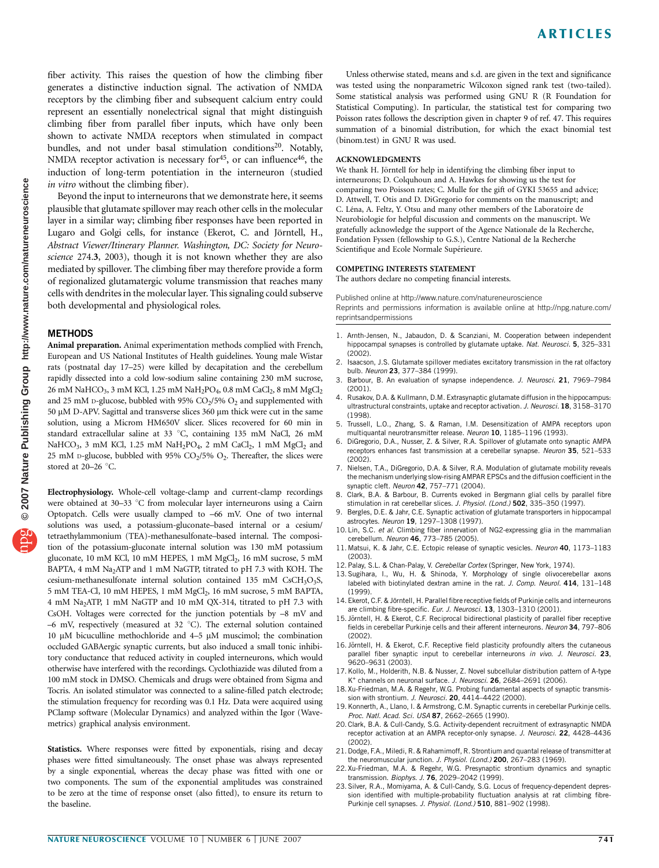fiber activity. This raises the question of how the climbing fiber generates a distinctive induction signal. The activation of NMDA receptors by the climbing fiber and subsequent calcium entry could represent an essentially nonelectrical signal that might distinguish climbing fiber from parallel fiber inputs, which have only been shown to activate NMDA receptors when stimulated in compact bundles, and not under basal stimulation conditions<sup>20</sup>. Notably, NMDA receptor activation is necessary for  $45$ , or can influence  $46$ , the induction of long-term potentiation in the interneuron (studied in vitro without the climbing fiber).

Beyond the input to interneurons that we demonstrate here, it seems plausible that glutamate spillover may reach other cells in the molecular layer in a similar way; climbing fiber responses have been reported in Lugaro and Golgi cells, for instance (Ekerot, C. and Jörntell, H., Abstract Viewer/Itinerary Planner. Washington, DC: Society for Neuroscience 274.3, 2003), though it is not known whether they are also mediated by spillover. The climbing fiber may therefore provide a form of regionalized glutamatergic volume transmission that reaches many cells with dendrites in the molecular layer. This signaling could subserve both developmental and physiological roles.

## **METHODS**

Animal preparation. Animal experimentation methods complied with French, European and US National Institutes of Health guidelines. Young male Wistar rats (postnatal day 17–25) were killed by decapitation and the cerebellum rapidly dissected into a cold low-sodium saline containing 230 mM sucrose, 26 mM NaHCO<sub>3</sub>, 3 mM KCl, 1.25 mM NaH<sub>2</sub>PO<sub>4</sub>, 0.8 mM CaCl<sub>2</sub>, 8 mM MgCl<sub>2</sub> and 25 mM D-glucose, bubbled with 95%  $CO<sub>2</sub>/5% O<sub>2</sub>$  and supplemented with 50 µM D-APV. Sagittal and transverse slices 360 µm thick were cut in the same solution, using a Microm HM650V slicer. Slices recovered for 60 min in standard extracellular saline at 33 °C, containing 135 mM NaCl, 26 mM NaHCO<sub>3</sub>, 3 mM KCl, 1.25 mM NaH<sub>2</sub>PO<sub>4</sub>, 2 mM CaCl<sub>2</sub>, 1 mM MgCl<sub>2</sub> and 25 mM D-glucose, bubbled with 95%  $CO<sub>2</sub>/5$ %  $O<sub>2</sub>$ . Thereafter, the slices were stored at 20-26  $^{\circ}$ C.

Electrophysiology. Whole-cell voltage-clamp and current-clamp recordings were obtained at 30–33 °C from molecular layer interneurons using a Cairn Optopatch. Cells were usually clamped to –66 mV. One of two internal solutions was used, a potassium-gluconate–based internal or a cesium/ tetraethylammonium (TEA)-methanesulfonate–based internal. The composition of the potassium-gluconate internal solution was 130 mM potassium gluconate, 10 mM KCl, 10 mM HEPES, 1 mM MgCl<sub>2</sub>, 16 mM sucrose, 5 mM BAPTA, 4 mM Na<sub>2</sub>ATP and 1 mM NaGTP, titrated to pH 7.3 with KOH. The cesium-methanesulfonate internal solution contained 135 mM  $CsCH<sub>3</sub>O<sub>3</sub>S$ ,  $5$  mM TEA-Cl,  $10$  mM HEPES,  $1$  mM  $\mathrm{MgCl}_2$  ,  $16$  mM sucrose,  $5$  mM BAPTA, 4 mM Na2ATP, 1 mM NaGTP and 10 mM QX-314, titrated to pH 7.3 with CsOH. Voltages were corrected for the junction potentials by –8 mV and  $-6$  mV, respectively (measured at 32 °C). The external solution contained 10  $\mu$ M bicuculline methochloride and 4–5  $\mu$ M muscimol; the combination occluded GABAergic synaptic currents, but also induced a small tonic inhibitory conductance that reduced activity in coupled interneurons, which would otherwise have interfered with the recordings. Cyclothiazide was diluted from a 100 mM stock in DMSO. Chemicals and drugs were obtained from Sigma and Tocris. An isolated stimulator was connected to a saline-filled patch electrode; the stimulation frequency for recording was 0.1 Hz. Data were acquired using PClamp software (Molecular Dynamics) and analyzed within the Igor (Wavemetrics) graphical analysis environment.

Statistics. Where responses were fitted by exponentials, rising and decay phases were fitted simultaneously. The onset phase was always represented by a single exponential, whereas the decay phase was fitted with one or two components. The sum of the exponential amplitudes was constrained to be zero at the time of response onset (also fitted), to ensure its return to the baseline.

Unless otherwise stated, means and s.d. are given in the text and significance was tested using the nonparametric Wilcoxon signed rank test (two-tailed). Some statistical analysis was performed using GNU R (R Foundation for Statistical Computing). In particular, the statistical test for comparing two Poisson rates follows the description given in chapter 9 of ref. 47. This requires summation of a binomial distribution, for which the exact binomial test (binom.test) in GNU R was used.

#### ACKNOWLEDGMENTS

We thank H. Jörntell for help in identifying the climbing fiber input to interneurons; D. Colquhoun and A. Hawkes for showing us the test for comparing two Poisson rates; C. Mulle for the gift of GYKI 53655 and advice; D. Attwell, T. Otis and D. DiGregorio for comments on the manuscript; and C. Léna, A. Feltz, Y. Otsu and many other members of the Laboratoire de Neurobiologie for helpful discussion and comments on the manuscript. We gratefully acknowledge the support of the Agence Nationale de la Recherche, Fondation Fyssen (fellowship to G.S.), Centre National de la Recherche Scientifique and Ecole Normale Supérieure.

#### COMPETING INTERESTS STATEMENT

The authors declare no competing financial interests.

Published online at http://www.nature.com/natureneuroscience Reprints and permissions information is available online at http://npg.nature.com/ reprintsandpermissions

- 1. Arnth-Jensen, N., Jabaudon, D. & Scanziani, M. Cooperation between independent hippocampal synapses is controlled by glutamate uptake. Nat. Neurosci. 5, 325-331 (2002).
- 2. Isaacson, J.S. Glutamate spillover mediates excitatory transmission in the rat olfactory bulb. Neuron 23, 377–384 (1999).
- 3. Barbour, B. An evaluation of synapse independence. J. Neurosci. 21, 7969–7984 (2001).
- 4. Rusakov, D.A. & Kullmann, D.M. Extrasynaptic glutamate diffusion in the hippocampus: ultrastructural constraints, uptake and receptor activation. J. Neurosci. 18, 3158–3170 (1998).
- 5. Trussell, L.O., Zhang, S. & Raman, I.M. Desensitization of AMPA receptors upon multiquantal neurotransmitter release. Neuron 10, 1185–1196 (1993).
- 6. DiGregorio, D.A., Nusser, Z. & Silver, R.A. Spillover of glutamate onto synaptic AMPA receptors enhances fast transmission at a cerebellar synapse. Neuron 35, 521-533 (2002).
- 7. Nielsen, T.A., DiGregorio, D.A. & Silver, R.A. Modulation of glutamate mobility reveals the mechanism underlying slow-rising AMPAR EPSCs and the diffusion coefficient in the synaptic cleft. Neuron 42, 757-771 (2004).
- 8. Clark, B.A. & Barbour, B. Currents evoked in Bergmann glial cells by parallel fibre stimulation in rat cerebellar slices. J. Physiol. (Lond.) 502, 335-350 (1997).
- 9. Bergles, D.E. & Jahr, C.E. Synaptic activation of glutamate transporters in hippocampal astrocytes. Neuron 19, 1297–1308 (1997).
- 10. Lin, S.C. et al. Climbing fiber innervation of NG2-expressing glia in the mammalian cerebellum. Neuron 46, 773–785 (2005).
- 11. Matsui, K. & Jahr, C.E. Ectopic release of synaptic vesicles. Neuron 40, 1173–1183 (2003).
- 12. Palay, S.L. & Chan-Palay, V. Cerebellar Cortex (Springer, New York, 1974).
- 13. Sugihara, I., Wu, H. & Shinoda, Y. Morphology of single olivocerebellar axons labeled with biotinylated dextran amine in the rat. J. Comp. Neurol. 414, 131-148 (1999).
- 14. Ekerot, C.F. & Jörntell, H. Parallel fibre receptive fields of Purkinje cells and interneurons are climbing fibre-specific. Eur. J. Neurosci. 13, 1303-1310 (2001).
- 15. Jörntell, H. & Ekerot, C.F. Reciprocal bidirectional plasticity of parallel fiber receptive fields in cerebellar Purkinje cells and their afferent interneurons. Neuron 34, 797-806 (2002).
- 16. Jörntell, H. & Ekerot, C.F. Receptive field plasticity profoundly alters the cutaneous parallel fiber synaptic input to cerebellar interneurons in vivo. J. Neurosci. 23, 9620–9631 (2003).
- 17. Kollo, M., Holderith, N.B. & Nusser, Z. Novel subcellular distribution pattern of A-type K<sup>+</sup> channels on neuronal surface. J. Neurosci. 26, 2684–2691 (2006).
- 18. Xu-Friedman, M.A. & Regehr, W.G. Probing fundamental aspects of synaptic transmission with strontium. *J. Neurosci*. **20**, 4414-4422 (2000).
- 19. Konnerth, A., Llano, I. & Armstrong, C.M. Synaptic currents in cerebellar Purkinje cells. Proc. Natl. Acad. Sci. USA 87, 2662–2665 (1990).
- 20. Clark, B.A. & Cull-Candy, S.G. Activity-dependent recruitment of extrasynaptic NMDA receptor activation at an AMPA receptor-only synapse. J. Neurosci. 22, 4428–4436 (2002).
- 21. Dodge, F.A., Miledi, R. & Rahamimoff, R. Strontium and quantal release of transmitter at the neuromuscular junction. J. Physiol. (Lond.) 200, 267-283 (1969).
- 22. Xu-Friedman, M.A. & Regehr, W.G. Presynaptic strontium dynamics and synaptic transmission. Biophys. J. 76, 2029–2042 (1999).
- 23. Silver, R.A., Momiyama, A. & Cull-Candy, S.G. Locus of frequency-dependent depression identified with multiple-probability fluctuation analysis at rat climbing fibre-Purkinje cell synapses. J. Physiol. (Lond.) 510, 881–902 (1998).